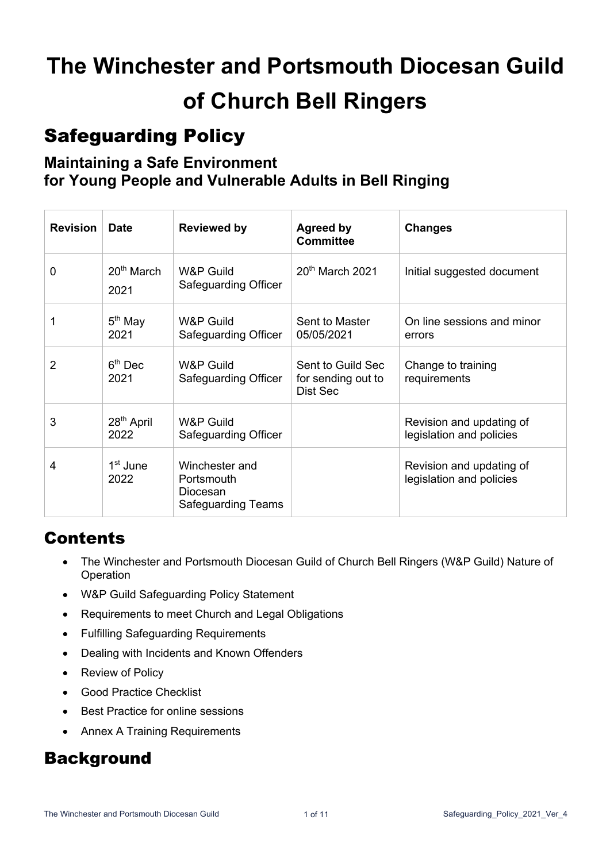# **The Winchester and Portsmouth Diocesan Guild of Church Bell Ringers**

# Safeguarding Policy

### **Maintaining a Safe Environment for Young People and Vulnerable Adults in Bell Ringing**

| <b>Revision</b> | <b>Date</b>                    | <b>Reviewed by</b>                                                    | <b>Agreed by</b><br><b>Committee</b>                | <b>Changes</b>                                       |
|-----------------|--------------------------------|-----------------------------------------------------------------------|-----------------------------------------------------|------------------------------------------------------|
| 0               | $20th$ March<br>2021           | <b>W&amp;P Guild</b><br>Safeguarding Officer                          | $20th$ March 2021                                   | Initial suggested document                           |
|                 | $5th$ May<br>2021              | W&P Guild<br>Safeguarding Officer                                     | Sent to Master<br>05/05/2021                        | On line sessions and minor<br>errors                 |
| 2               | $6th$ Dec<br>2021              | <b>W&amp;P Guild</b><br>Safeguarding Officer                          | Sent to Guild Sec<br>for sending out to<br>Dist Sec | Change to training<br>requirements                   |
| 3               | 28 <sup>th</sup> April<br>2022 | <b>W&amp;P Guild</b><br>Safeguarding Officer                          |                                                     | Revision and updating of<br>legislation and policies |
| 4               | 1 <sup>st</sup> June<br>2022   | Winchester and<br>Portsmouth<br>Diocesan<br><b>Safeguarding Teams</b> |                                                     | Revision and updating of<br>legislation and policies |

# Contents

- The Winchester and Portsmouth Diocesan Guild of Church Bell Ringers (W&P Guild) Nature of Operation
- W&P Guild Safeguarding Policy Statement
- Requirements to meet Church and Legal Obligations
- Fulfilling Safeguarding Requirements
- Dealing with Incidents and Known Offenders
- Review of Policy
- Good Practice Checklist
- Best Practice for online sessions
- Annex A Training Requirements

### **Background**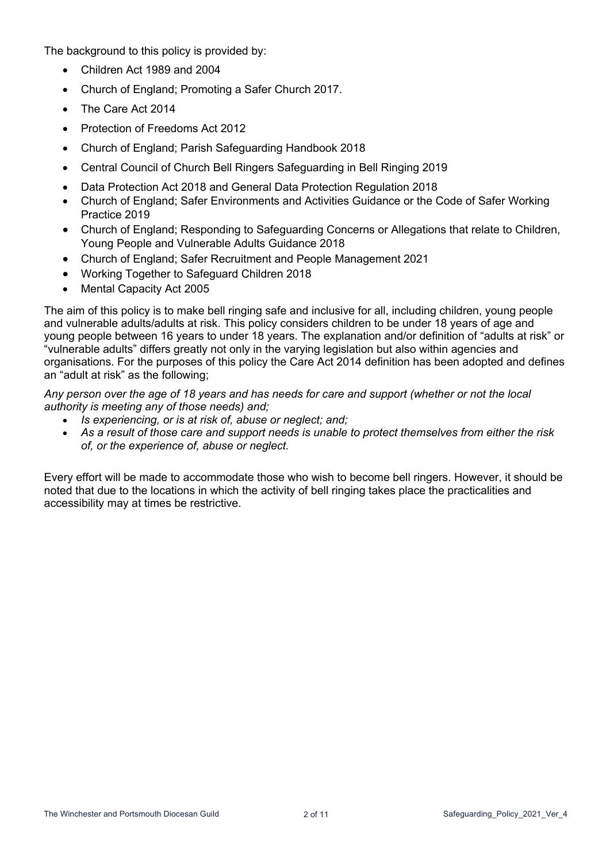The background to this policy is provided by:

- Children Act 1989 and 2004
- Church of England; Promoting a Safer Church 2017.
- The Care Act 2014
- Protection of Freedoms Act 2012
- Church of England; Parish Safeguarding Handbook 2018
- Central Council of Church Bell Ringers Safeguarding in Bell Ringing 2019
- Data Protection Act 2018 and General Data Protection Regulation 2018
- Church of England; Safer Environments and Activities Guidance or the Code of Safer Working Practice 2019
- Church of England; Responding to Safeguarding Concerns or Allegations that relate to Children, Young People and Vulnerable Adults Guidance 2018
- Church of England; Safer Recruitment and People Management 2021
- Working Together to Safeguard Children 2018
- Mental Capacity Act 2005

The aim of this policy is to make bell ringing safe and inclusive for all, including children, young people and vulnerable adults/adults at risk. This policy considers children to be under 18 years of age and young people between 16 years to under 18 years. The explanation and/or definition of "adults at risk" or "vulnerable adults" differs greatly not only in the varying legislation but also within agencies and organisations. For the purposes of this policy the Care Act 2014 definition has been adopted and defines an "adult at risk" as the following;

*Any person over the age of 18 years and has needs for care and support (whether or not the local authority is meeting any of those needs) and;*

- *Is experiencing, or is at risk of, abuse or neglect; and;*
- *As a result of those care and support needs is unable to protect themselves from either the risk of, or the experience of, abuse or neglect.*

Every effort will be made to accommodate those who wish to become bell ringers. However, it should be noted that due to the locations in which the activity of bell ringing takes place the practicalities and accessibility may at times be restrictive.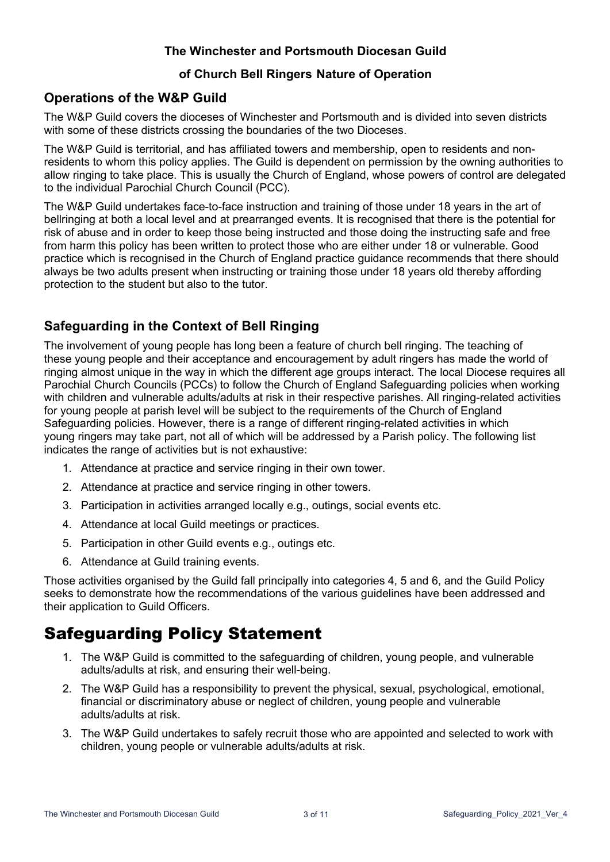#### **The Winchester and Portsmouth Diocesan Guild**

#### **of Church Bell Ringers Nature of Operation**

### **Operations of the W&P Guild**

The W&P Guild covers the dioceses of Winchester and Portsmouth and is divided into seven districts with some of these districts crossing the boundaries of the two Dioceses.

The W&P Guild is territorial, and has affiliated towers and membership, open to residents and nonresidents to whom this policy applies. The Guild is dependent on permission by the owning authorities to allow ringing to take place. This is usually the Church of England, whose powers of control are delegated to the individual Parochial Church Council (PCC).

The W&P Guild undertakes face-to-face instruction and training of those under 18 years in the art of bellringing at both a local level and at prearranged events. It is recognised that there is the potential for risk of abuse and in order to keep those being instructed and those doing the instructing safe and free from harm this policy has been written to protect those who are either under 18 or vulnerable. Good practice which is recognised in the Church of England practice guidance recommends that there should always be two adults present when instructing or training those under 18 years old thereby affording protection to the student but also to the tutor.

### **Safeguarding in the Context of Bell Ringing**

The involvement of young people has long been a feature of church bell ringing. The teaching of these young people and their acceptance and encouragement by adult ringers has made the world of ringing almost unique in the way in which the different age groups interact. The local Diocese requires all Parochial Church Councils (PCCs) to follow the Church of England Safeguarding policies when working with children and vulnerable adults/adults at risk in their respective parishes. All ringing-related activities for young people at parish level will be subject to the requirements of the Church of England Safeguarding policies. However, there is a range of different ringing-related activities in which young ringers may take part, not all of which will be addressed by a Parish policy. The following list indicates the range of activities but is not exhaustive:

- 1. Attendance at practice and service ringing in their own tower.
- 2. Attendance at practice and service ringing in other towers.
- 3. Participation in activities arranged locally e.g., outings, social events etc.
- 4. Attendance at local Guild meetings or practices.
- 5. Participation in other Guild events e.g., outings etc.
- 6. Attendance at Guild training events.

Those activities organised by the Guild fall principally into categories 4, 5 and 6, and the Guild Policy seeks to demonstrate how the recommendations of the various guidelines have been addressed and their application to Guild Officers.

### Safeguarding Policy Statement

- 1. The W&P Guild is committed to the safeguarding of children, young people, and vulnerable adults/adults at risk, and ensuring their well-being.
- 2. The W&P Guild has a responsibility to prevent the physical, sexual, psychological, emotional, financial or discriminatory abuse or neglect of children, young people and vulnerable adults/adults at risk.
- 3. The W&P Guild undertakes to safely recruit those who are appointed and selected to work with children, young people or vulnerable adults/adults at risk.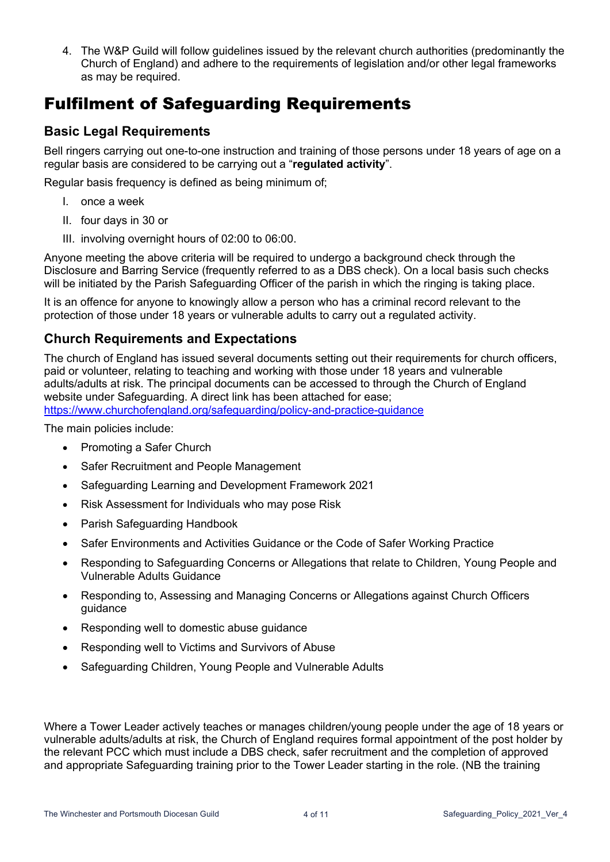4. The W&P Guild will follow guidelines issued by the relevant church authorities (predominantly the Church of England) and adhere to the requirements of legislation and/or other legal frameworks as may be required.

# Fulfilment of Safeguarding Requirements

### **Basic Legal Requirements**

Bell ringers carrying out one-to-one instruction and training of those persons under 18 years of age on a regular basis are considered to be carrying out a "**regulated activity**".

Regular basis frequency is defined as being minimum of;

- I. once a week
- II. four days in 30 or
- III. involving overnight hours of 02:00 to 06:00.

Anyone meeting the above criteria will be required to undergo a background check through the Disclosure and Barring Service (frequently referred to as a DBS check). On a local basis such checks will be initiated by the Parish Safeguarding Officer of the parish in which the ringing is taking place.

It is an offence for anyone to knowingly allow a person who has a criminal record relevant to the protection of those under 18 years or vulnerable adults to carry out a regulated activity.

#### **Church Requirements and Expectations**

The church of England has issued several documents setting out their requirements for church officers, paid or volunteer, relating to teaching and working with those under 18 years and vulnerable adults/adults at risk. The principal documents can be accessed to through the Church of England website under Safeguarding. A direct link has been attached for ease;

https://www.churchofengland.org/safeguarding/policy-and-practice-guidance

The main policies include:

- Promoting a Safer Church
- Safer Recruitment and People Management
- Safeguarding Learning and Development Framework 2021
- Risk Assessment for Individuals who may pose Risk
- Parish Safeguarding Handbook
- Safer Environments and Activities Guidance or the Code of Safer Working Practice
- Responding to Safeguarding Concerns or Allegations that relate to Children, Young People and Vulnerable Adults Guidance
- Responding to, Assessing and Managing Concerns or Allegations against Church Officers guidance
- Responding well to domestic abuse guidance
- Responding well to Victims and Survivors of Abuse
- Safeguarding Children, Young People and Vulnerable Adults

Where a Tower Leader actively teaches or manages children/young people under the age of 18 years or vulnerable adults/adults at risk, the Church of England requires formal appointment of the post holder by the relevant PCC which must include a DBS check, safer recruitment and the completion of approved and appropriate Safeguarding training prior to the Tower Leader starting in the role. (NB the training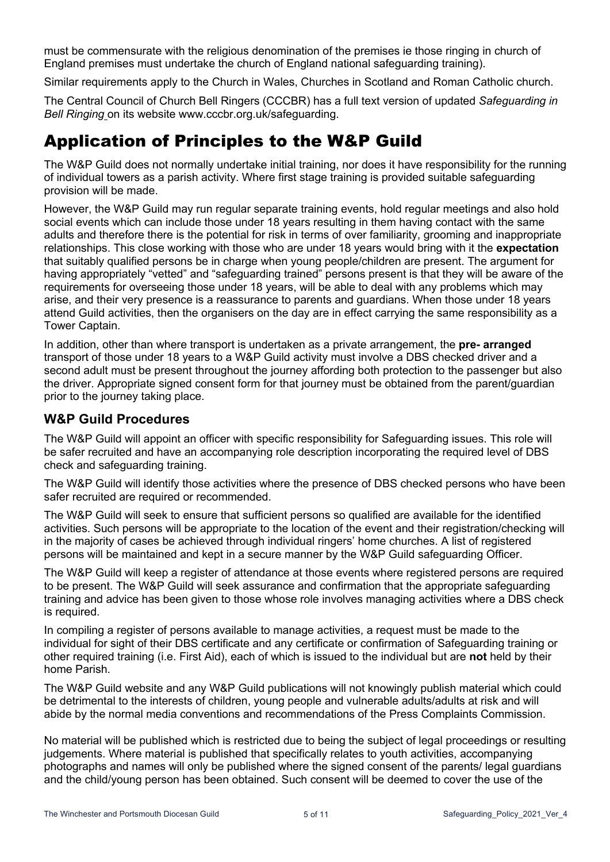must be commensurate with the religious denomination of the premises ie those ringing in church of England premises must undertake the church of England national safeguarding training).

Similar requirements apply to the Church in Wales, Churches in Scotland and Roman Catholic church.

The Central Council of Church Bell Ringers (CCCBR) has a full text version of updated *Safeguarding in Bell Ringing* on its website www.cccbr.org.uk/safeguarding.

### Application of Principles to the W&P Guild

The W&P Guild does not normally undertake initial training, nor does it have responsibility for the running of individual towers as a parish activity. Where first stage training is provided suitable safeguarding provision will be made.

However, the W&P Guild may run regular separate training events, hold regular meetings and also hold social events which can include those under 18 years resulting in them having contact with the same adults and therefore there is the potential for risk in terms of over familiarity, grooming and inappropriate relationships. This close working with those who are under 18 years would bring with it the **expectation** that suitably qualified persons be in charge when young people/children are present. The argument for having appropriately "vetted" and "safeguarding trained" persons present is that they will be aware of the requirements for overseeing those under 18 years, will be able to deal with any problems which may arise, and their very presence is a reassurance to parents and guardians. When those under 18 years attend Guild activities, then the organisers on the day are in effect carrying the same responsibility as a Tower Captain.

In addition, other than where transport is undertaken as a private arrangement, the **pre- arranged** transport of those under 18 years to a W&P Guild activity must involve a DBS checked driver and a second adult must be present throughout the journey affording both protection to the passenger but also the driver. Appropriate signed consent form for that journey must be obtained from the parent/guardian prior to the journey taking place.

#### **W&P Guild Procedures**

The W&P Guild will appoint an officer with specific responsibility for Safeguarding issues. This role will be safer recruited and have an accompanying role description incorporating the required level of DBS check and safeguarding training.

The W&P Guild will identify those activities where the presence of DBS checked persons who have been safer recruited are required or recommended.

The W&P Guild will seek to ensure that sufficient persons so qualified are available for the identified activities. Such persons will be appropriate to the location of the event and their registration/checking will in the majority of cases be achieved through individual ringers' home churches. A list of registered persons will be maintained and kept in a secure manner by the W&P Guild safeguarding Officer.

The W&P Guild will keep a register of attendance at those events where registered persons are required to be present. The W&P Guild will seek assurance and confirmation that the appropriate safeguarding training and advice has been given to those whose role involves managing activities where a DBS check is required.

In compiling a register of persons available to manage activities, a request must be made to the individual for sight of their DBS certificate and any certificate or confirmation of Safeguarding training or other required training (i.e. First Aid), each of which is issued to the individual but are **not** held by their home Parish.

The W&P Guild website and any W&P Guild publications will not knowingly publish material which could be detrimental to the interests of children, young people and vulnerable adults/adults at risk and will abide by the normal media conventions and recommendations of the Press Complaints Commission.

No material will be published which is restricted due to being the subject of legal proceedings or resulting judgements. Where material is published that specifically relates to youth activities, accompanying photographs and names will only be published where the signed consent of the parents/ legal guardians and the child/young person has been obtained. Such consent will be deemed to cover the use of the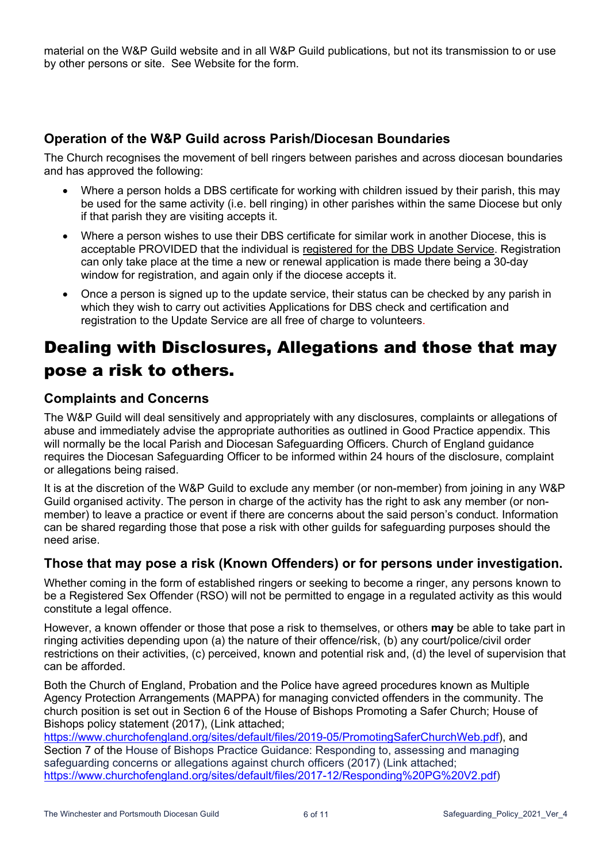material on the W&P Guild website and in all W&P Guild publications, but not its transmission to or use by other persons or site. See Website for the form.

### **Operation of the W&P Guild across Parish/Diocesan Boundaries**

The Church recognises the movement of bell ringers between parishes and across diocesan boundaries and has approved the following:

- Where a person holds a DBS certificate for working with children issued by their parish, this may be used for the same activity (i.e. bell ringing) in other parishes within the same Diocese but only if that parish they are visiting accepts it.
- Where a person wishes to use their DBS certificate for similar work in another Diocese, this is acceptable PROVIDED that the individual is registered for the DBS Update Service. Registration can only take place at the time a new or renewal application is made there being a 30-day window for registration, and again only if the diocese accepts it.
- Once a person is signed up to the update service, their status can be checked by any parish in which they wish to carry out activities Applications for DBS check and certification and registration to the Update Service are all free of charge to volunteers.

# Dealing with Disclosures, Allegations and those that may pose a risk to others.

### **Complaints and Concerns**

The W&P Guild will deal sensitively and appropriately with any disclosures, complaints or allegations of abuse and immediately advise the appropriate authorities as outlined in Good Practice appendix. This will normally be the local Parish and Diocesan Safeguarding Officers. Church of England guidance requires the Diocesan Safeguarding Officer to be informed within 24 hours of the disclosure, complaint or allegations being raised.

It is at the discretion of the W&P Guild to exclude any member (or non-member) from joining in any W&P Guild organised activity. The person in charge of the activity has the right to ask any member (or nonmember) to leave a practice or event if there are concerns about the said person's conduct. Information can be shared regarding those that pose a risk with other guilds for safeguarding purposes should the need arise.

### **Those that may pose a risk (Known Offenders) or for persons under investigation.**

Whether coming in the form of established ringers or seeking to become a ringer, any persons known to be a Registered Sex Offender (RSO) will not be permitted to engage in a regulated activity as this would constitute a legal offence.

However, a known offender or those that pose a risk to themselves, or others **may** be able to take part in ringing activities depending upon (a) the nature of their offence/risk, (b) any court/police/civil order restrictions on their activities, (c) perceived, known and potential risk and, (d) the level of supervision that can be afforded.

Both the Church of England, Probation and the Police have agreed procedures known as Multiple Agency Protection Arrangements (MAPPA) for managing convicted offenders in the community. The church position is set out in Section 6 of the House of Bishops Promoting a Safer Church; House of Bishops policy statement (2017), (Link attached;

https://www.churchofengland.org/sites/default/files/2019-05/PromotingSaferChurchWeb.pdf), and Section 7 of the House of Bishops Practice Guidance: Responding to, assessing and managing safeguarding concerns or allegations against church officers (2017) (Link attached; https://www.churchofengland.org/sites/default/files/2017-12/Responding%20PG%20V2.pdf)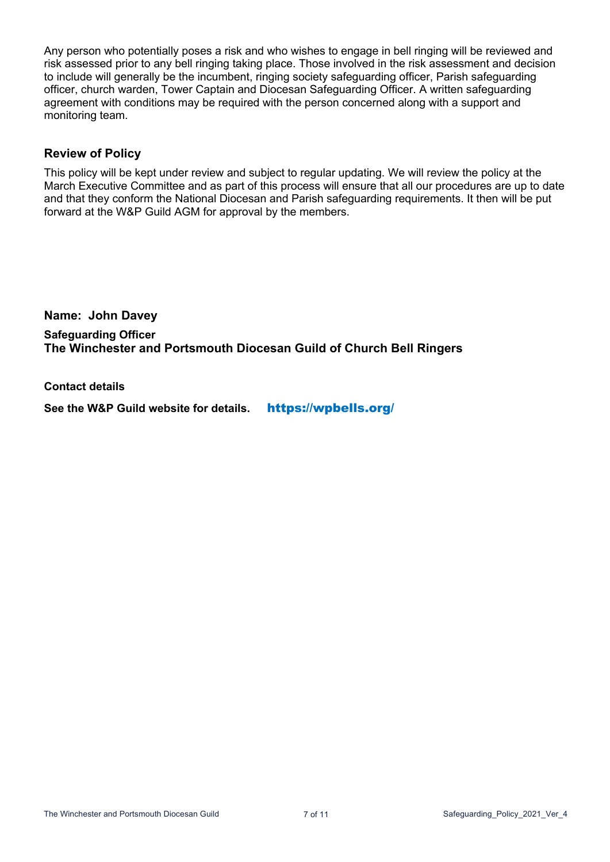Any person who potentially poses a risk and who wishes to engage in bell ringing will be reviewed and risk assessed prior to any bell ringing taking place. Those involved in the risk assessment and decision to include will generally be the incumbent, ringing society safeguarding officer, Parish safeguarding officer, church warden, Tower Captain and Diocesan Safeguarding Officer. A written safeguarding agreement with conditions may be required with the person concerned along with a support and monitoring team.

#### **Review of Policy**

This policy will be kept under review and subject to regular updating. We will review the policy at the March Executive Committee and as part of this process will ensure that all our procedures are up to date and that they conform the National Diocesan and Parish safeguarding requirements. It then will be put forward at the W&P Guild AGM for approval by the members.

**Name: John Davey Safeguarding Officer The Winchester and Portsmouth Diocesan Guild of Church Bell Ringers**

**Contact details**

**See the W&P Guild website for details.** https://wpbells.org/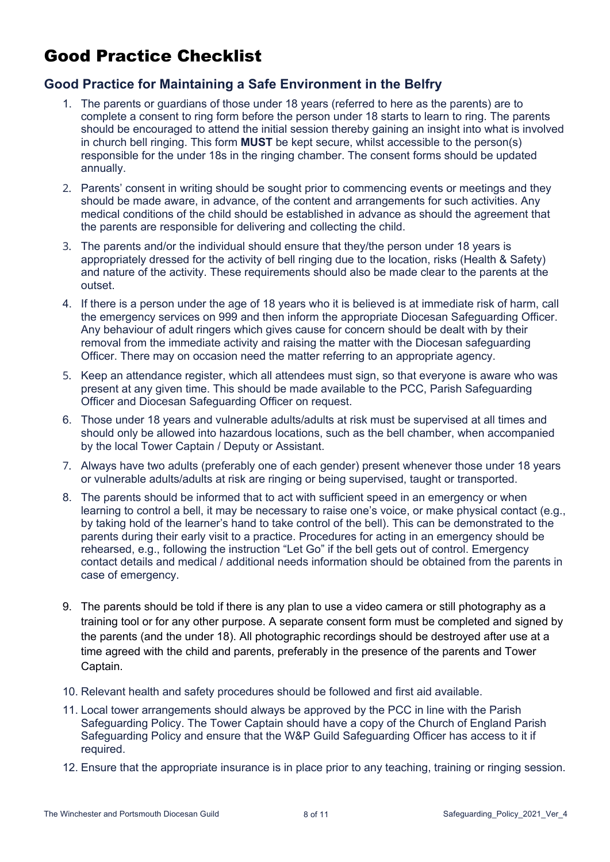# Good Practice Checklist

### **Good Practice for Maintaining a Safe Environment in the Belfry**

- 1. The parents or guardians of those under 18 years (referred to here as the parents) are to complete a consent to ring form before the person under 18 starts to learn to ring. The parents should be encouraged to attend the initial session thereby gaining an insight into what is involved in church bell ringing. This form **MUST** be kept secure, whilst accessible to the person(s) responsible for the under 18s in the ringing chamber. The consent forms should be updated annually.
- 2. Parents' consent in writing should be sought prior to commencing events or meetings and they should be made aware, in advance, of the content and arrangements for such activities. Any medical conditions of the child should be established in advance as should the agreement that the parents are responsible for delivering and collecting the child.
- 3. The parents and/or the individual should ensure that they/the person under 18 years is appropriately dressed for the activity of bell ringing due to the location, risks (Health & Safety) and nature of the activity. These requirements should also be made clear to the parents at the outset.
- 4. If there is a person under the age of 18 years who it is believed is at immediate risk of harm, call the emergency services on 999 and then inform the appropriate Diocesan Safeguarding Officer. Any behaviour of adult ringers which gives cause for concern should be dealt with by their removal from the immediate activity and raising the matter with the Diocesan safeguarding Officer. There may on occasion need the matter referring to an appropriate agency.
- 5. Keep an attendance register, which all attendees must sign, so that everyone is aware who was present at any given time. This should be made available to the PCC, Parish Safeguarding Officer and Diocesan Safeguarding Officer on request.
- 6. Those under 18 years and vulnerable adults/adults at risk must be supervised at all times and should only be allowed into hazardous locations, such as the bell chamber, when accompanied by the local Tower Captain / Deputy or Assistant.
- 7. Always have two adults (preferably one of each gender) present whenever those under 18 years or vulnerable adults/adults at risk are ringing or being supervised, taught or transported.
- 8. The parents should be informed that to act with sufficient speed in an emergency or when learning to control a bell, it may be necessary to raise one's voice, or make physical contact (e.g., by taking hold of the learner's hand to take control of the bell). This can be demonstrated to the parents during their early visit to a practice. Procedures for acting in an emergency should be rehearsed, e.g., following the instruction "Let Go" if the bell gets out of control. Emergency contact details and medical / additional needs information should be obtained from the parents in case of emergency.
- 9. The parents should be told if there is any plan to use a video camera or still photography as a training tool or for any other purpose. A separate consent form must be completed and signed by the parents (and the under 18). All photographic recordings should be destroyed after use at a time agreed with the child and parents, preferably in the presence of the parents and Tower Captain.
- 10. Relevant health and safety procedures should be followed and first aid available.
- 11. Local tower arrangements should always be approved by the PCC in line with the Parish Safeguarding Policy. The Tower Captain should have a copy of the Church of England Parish Safeguarding Policy and ensure that the W&P Guild Safeguarding Officer has access to it if required.
- 12. Ensure that the appropriate insurance is in place prior to any teaching, training or ringing session.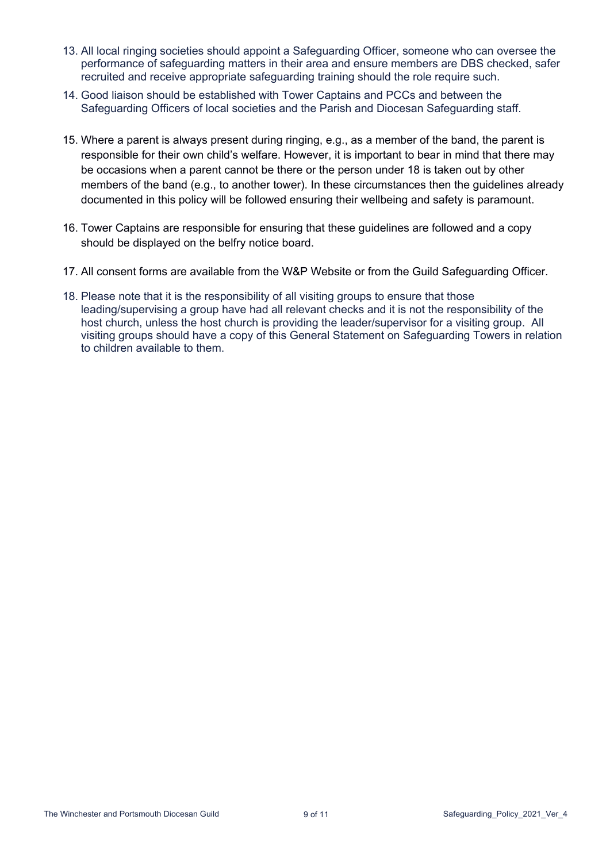- 13. All local ringing societies should appoint a Safeguarding Officer, someone who can oversee the performance of safeguarding matters in their area and ensure members are DBS checked, safer recruited and receive appropriate safeguarding training should the role require such.
- 14. Good liaison should be established with Tower Captains and PCCs and between the Safeguarding Officers of local societies and the Parish and Diocesan Safeguarding staff.
- 15. Where a parent is always present during ringing, e.g., as a member of the band, the parent is responsible for their own child's welfare. However, it is important to bear in mind that there may be occasions when a parent cannot be there or the person under 18 is taken out by other members of the band (e.g., to another tower). In these circumstances then the guidelines already documented in this policy will be followed ensuring their wellbeing and safety is paramount.
- 16. Tower Captains are responsible for ensuring that these guidelines are followed and a copy should be displayed on the belfry notice board.
- 17. All consent forms are available from the W&P Website or from the Guild Safeguarding Officer.
- 18. Please note that it is the responsibility of all visiting groups to ensure that those leading/supervising a group have had all relevant checks and it is not the responsibility of the host church, unless the host church is providing the leader/supervisor for a visiting group. All visiting groups should have a copy of this General Statement on Safeguarding Towers in relation to children available to them.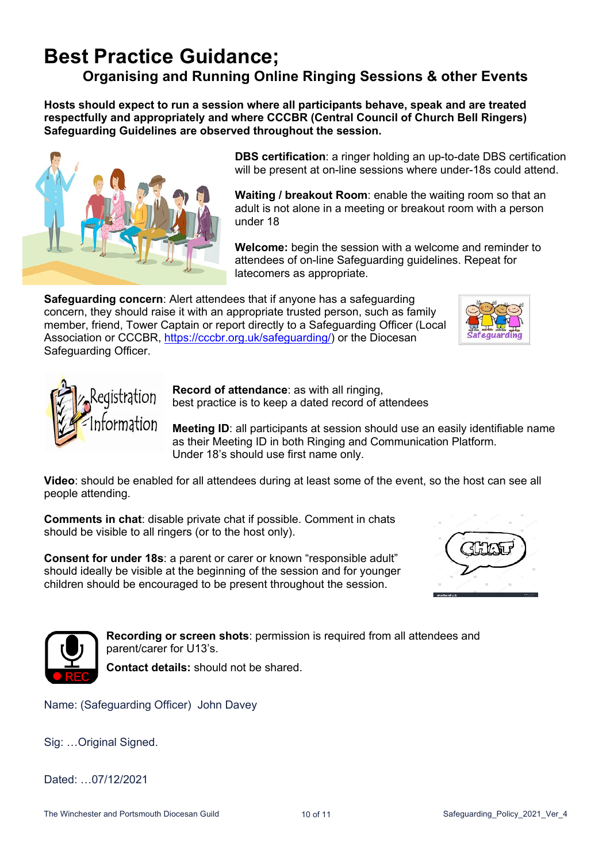# **Best Practice Guidance;**

### **Organising and Running Online Ringing Sessions & other Events**

**Hosts should expect to run a session where all participants behave, speak and are treated respectfully and appropriately and where CCCBR (Central Council of Church Bell Ringers) Safeguarding Guidelines are observed throughout the session.**



**DBS certification**: a ringer holding an up-to-date DBS certification will be present at on-line sessions where under-18s could attend.

**Waiting / breakout Room**: enable the waiting room so that an adult is not alone in a meeting or breakout room with a person under 18

**Welcome:** begin the session with a welcome and reminder to attendees of on-line Safeguarding guidelines. Repeat for latecomers as appropriate.

**Safeguarding concern**: Alert attendees that if anyone has a safeguarding concern, they should raise it with an appropriate trusted person, such as family member, friend, Tower Captain or report directly to a Safeguarding Officer (Local Association or CCCBR, https://cccbr.org.uk/safeguarding/) or the Diocesan Safeguarding Officer.





**Record of attendance**: as with all ringing, best practice is to keep a dated record of attendees

**Meeting ID:** all participants at session should use an easily identifiable name as their Meeting ID in both Ringing and Communication Platform. Under 18's should use first name only.

**Video**: should be enabled for all attendees during at least some of the event, so the host can see all people attending.

**Comments in chat**: disable private chat if possible. Comment in chats should be visible to all ringers (or to the host only).

**Consent for under 18s**: a parent or carer or known "responsible adult" should ideally be visible at the beginning of the session and for younger children should be encouraged to be present throughout the session.





**Recording or screen shots**: permission is required from all attendees and parent/carer for U13's.

**Contact details:** should not be shared.

Name: (Safeguarding Officer) John Davey

Sig: …Original Signed.

Dated: 07/12/2021